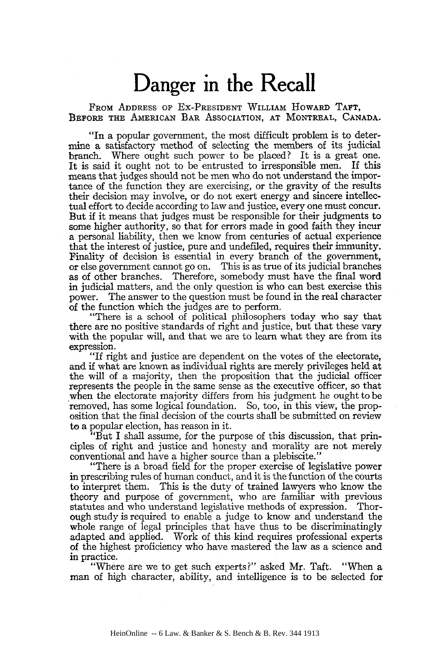## **Danger in the Recall**

FROM **ADDRESS OF EX-PRESIDENT** WILLIAM HOWARD **TAFT,** BEFORE THE AMERICAN BAR ASSOCIATION, **AT** MONTREAL, CANADA.

"In a popular government, the most difficult problem is to determine a satisfactory method of selecting the members of its judicial branch. Where ought such power to be placed? It is a great one. It is said it ought not to be entrusted to irresponsible men. If this means that judges should not be men who do not understand the importance of the function they are exercising, or the gravity of the results their decision may involve, or do not exert energy and sincere intellectual effort to decide according to law and justice, every one must concur. But if it means that judges must be responsible for their judgments to some higher authority, so that for errors made in good faith they incur a personal liability, then we know from centuries of actual experience that the interest of justice, pure and undefiled, requires their immunity. Finality of decision is essential in every branch of the government, or else government cannot go on. This is as true of its judicial branches as of other branches. Therefore, somebody must have the final word in judicial matters, and the only question is who can best exercise this power. The answer to the question must be found in the real character of the function which the judges are to perform.

"There is a school of political philosophers today who say that there are no positive standards of right and justice, but that these vary with the popular will, and that we are to learn what they are from its expression.

"If right and justice are dependent on the votes of the electorate, and if what are known as individual rights are merely privileges held at the will of a majority, then the proposition that the judicial officer represents the people in the same sense as the executive officer, so that when the electorate majority differs from his judgment he ought to be removed, has some logical foundation. So, too, in this view, the proposition that the final decision of the courts shall be submitted on review to a popular election, has reason in it.

"But I shall assume, for the purpose of this discussion, that principles of right and justice and honesty and morality are not merely conventional and have a higher source than a plebiscite."

"There is a broad field for the proper exercise of legislative power in prescribing rules of human conduct, and it is the function of the courts to interpret them. This is the duty of trained lawyers who know the theory and purpose of government, who are familiar with previous statutes and who understand legislative methods of expression. Thorough study is required to enable a judge to know and understand the whole range of legal principles that have thus to be discriminatingly adapted and applied. Work of this kind requires professional experts of the highest proficiency who have mastered the law as a science and in practice.

"Where are we to get such experts?" asked Mr. Taft. "When a man of high character, ability, and intelligence is to be selected for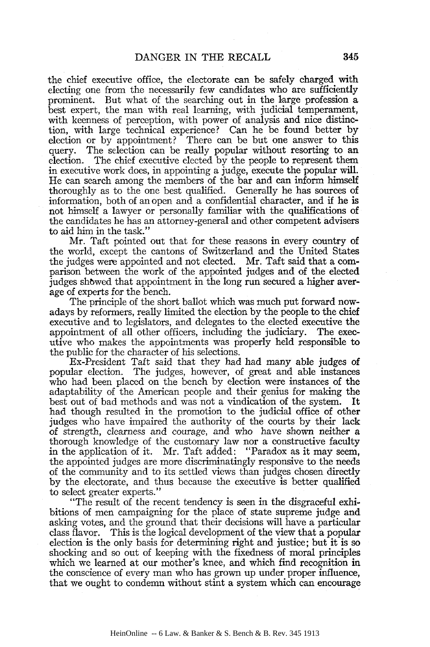the chief executive office, the electorate can be safely charged with electing one from the necessarily few candidates who are sufficiently prominent. But what of the searching out in the large profession a best expert, the man with real learning, with judicial temperament, with keenness of perception, with power of analysis and nice distinction, with large technical experience? Can he be found better by election or by appointment? There can be but one answer to this query. The selection can be really popular without resorting to an election. The chief executive elected by the people to represent them in executive work does, in appointing a judge, execute the popular will. He can search among the members of the bar and can inform himself thoroughly as to the one best qualified. Generally he has sources of information, both of an open and a confidential character, and if he is not himself a lawyer or personally familiar with the qualifications of the candidates he has an attorney-general and other competent advisers to aid him in the task."

Mr. Taft pointed out that for these reasons in every country of the world, except the cantons of Switzerland and the United States the judges were appointed and not elected. Mr. Taft said that a comparison between the work of the appointed judges and of the elected judges shbwed that appointment in the long run secured a higher average of experts for the bench.

The principle of the short ballot which was much put forward nowadays by reformers, really limited the election by the people to the chief executive and to legislators, and delegates to the elected executive the appointment of all other officers, including the judiciary. The executive who makes the appointments was properly held responsible to the public for the character of his selections.

Ex-President Taft said that they had had many able judges of popular election. The judges, however, of great and able instances who had been placed on the bench by election were instances of the adaptability of the American people and their genius for making the best out of bad methods and was not a vindication of the system. It had though resulted in the promotion to the judicial office of other judges who have impaired the authority of the courts by their lack of strength, clearness and courage, and who have shown neither a thorough knowledge of the customary law nor a constructive faculty in the application of it. Mr. Taft added: "Paradox as it may seem, the appointed judges are more discriminatingly responsive to the needs of the community and to its settled views than judges chosen directly by the electorate, and thus because the executive is better qualified to select greater experts."

"The result of the recent tendency is seen in the disgraceful exhibitions of men campaigning for the place of state supreme judge and asking votes, and the ground that their decisions will have a particular class flavor. This is the logical development of the view that a popular election is the only basis for determining right and justice; but it is so shocking and so out of keeping with the fixedness of moral principles which we learned at our mother's knee, and which find recognition in the conscience of every man who has grown up under proper influence, that we ought to condemn without stint a system which can encourage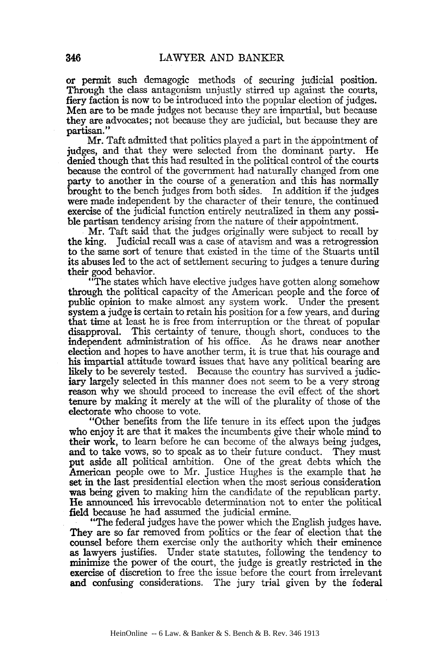or permit such demagogic methods of securing judicial position. Through the class antagonism unjustly stirred up against the courts, fiery faction is now to be introduced into the popular election of judges. Men are to be made judges not because they are impartial, but because they are advocates; not because they are judicial, but because they are partisan."

Mr. Taft admitted that politics played a part in the appointment of judges, and that they were selected from the dominant party. He denied though that this had resulted in the political control of the courts because the control of the government had naturally changed from one party to another in the course of a generation and this has normally brought to the bench judges from both sides. In addition if the judges were made independent by the character of their tenure, the continued exercise of the judicial function entirely neutralized in them any possible partisan tendency arising from the nature of their appointment.

Mr. Taft said that the judges originally were subject to recall by the king. Judicial recall was a case of atavism and was a retrogression to the same sort of tenure that existed in the time of the Stuarts until its abuses led to the act of settlement securing to judges a tenure during their good behavior.

"The states which have elective judges have gotten along somehow through the political capacity of the American people and the force of public opinion to make almost any system work. Under the present system a judge is certain to retain his position for a few years, and during that time at least he is free from interruption or the threat of popular disapproval. This certainty of tenure, though short, conduces to the independent administration of his office. As he draws near another election and hopes to have another term, it is true that his courage and his impartial attitude toward issues that have any political bearing are likely to be severely tested. Because the country has survived a judiciary largely selected in this manner does not seem to be a very strong reason why we should proceed to increase the evil effect of the short tenure by making it merely at the will of the plurality of those of the electorate who choose to vote.

"Other benefits from the life tenure in its effect upon the judges who enjoy it are that it makes the incumbents give their whole mind to their work, to learn before he can become of the always being judges, and to take vows, so to speak as to their future conduct. They must put aside all political ambition. One of the great debts which the American people owe to Mr. Justice Hughes is the example that he set in the last presidential election when the most serious consideration **was** being given to making him the candidate of the republican party. He announced his irrevocable determination not to enter the political field because he had assumed the judicial ermine.

"The federal judges have the power which the English judges have. They are so far removed from politics or the fear of election that the counsel before them exercise only the authority which their eminence as lawyers justifies. Under state statutes, following the tendency to minimize the power of the court, the judge is greatly restricted in the exercise of discretion to free the issue before the court from irrelevant and confusing considerations. The jury trial given by the federal